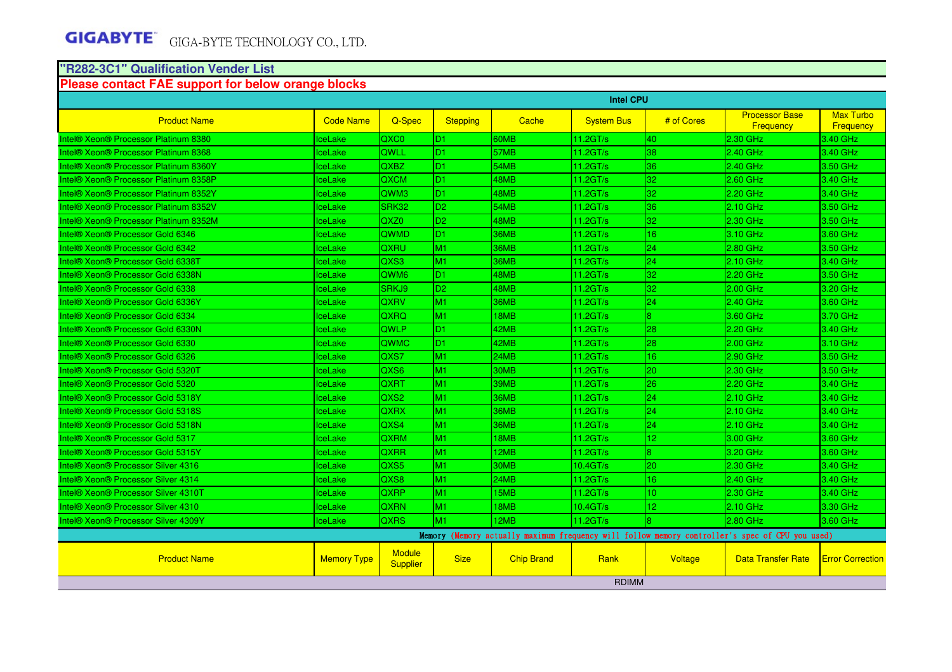#### **"R282-3C1" Qualification Vender List**

#### **Please contact FAE support for below orange blocks**

|                                                             | <b>Intel CPU</b>   |                           |                 |                   |                      |                         |                                                                                                 |                                      |  |  |
|-------------------------------------------------------------|--------------------|---------------------------|-----------------|-------------------|----------------------|-------------------------|-------------------------------------------------------------------------------------------------|--------------------------------------|--|--|
| <b>Product Name</b>                                         | <b>Code Name</b>   | Q-Spec                    | <b>Stepping</b> | <b>Cache</b>      | <b>System Bus</b>    | # of Cores              | <b>Processor Base</b><br><b>Frequency</b>                                                       | <b>Max Turbo</b><br><b>Frequency</b> |  |  |
| <b>Intel® Xeon® Processor Platinum 8380</b>                 | ceLake             | QXC0                      | D <sub>1</sub>  | 60MB              | 11.2GT/s             | 40                      | 2.30 GHz                                                                                        | 3.40 GHz                             |  |  |
| Intel® Xeon® Processor Platinum 8368                        | ceLake             | QWLL                      | D <sub>1</sub>  | 57MB              | $11.2$ GT/s          | 38                      | 2.40 GHz                                                                                        | 3.40 GHz                             |  |  |
| Intel® Xeon® Processor Platinum 8360Y                       | <b>IceLake</b>     | QXBZ                      | D <sub>1</sub>  | <b>54MB</b>       | $11.2$ GT/s          | 36                      | 2.40 GHz                                                                                        | 3.50 GHz                             |  |  |
| Intel® Xeon® Processor Platinum 8358P                       | <b>IceLake</b>     | <b>QXCM</b>               | ID1.            | 48MB              | $11.2$ GT/s          | 32                      | 2.60 GHz                                                                                        | 3.40 GHz                             |  |  |
| Intel® Xeon® Processor Platinum 8352Y                       | <b>IceLake</b>     | QWM3                      | D1              | 48MB              | $11.2 \text{GT/s}$   | 32                      | 2.20 GHz                                                                                        | 3.40 GHz                             |  |  |
| Intel® Xeon® Processor Platinum 8352V                       | <b>IceLake</b>     | SRK32                     | D <sub>2</sub>  | 54MB              | 11.2GT/s             | 36                      | 2.10 GHz                                                                                        | 3.50 GHz                             |  |  |
| Intel® Xeon® Processor Platinum 8352M                       | IceLake            | QXZ0                      | D <sub>2</sub>  | 48MB              | $11.2$ GT/s          | 32                      | 2.30 GHz                                                                                        | 3.50 GHz                             |  |  |
| Intel <sup>®</sup> Xeon <sup>®</sup> Processor Gold 6346    | <b>IceLake</b>     | QWMD                      | ID1             | 36MB              | 11.2GT/s             | 16                      | 3.10 GHz                                                                                        | 3.60 GHz                             |  |  |
| Intel <sup>®</sup> Xeon <sup>®</sup> Processor Gold 6342    | <b>IceLake</b>     | QXRU                      | M <sub>1</sub>  | 36MB              | $11.2 \text{GT/s}$   | 24                      | 2.80 GHz                                                                                        | 3.50 GHz                             |  |  |
| Intel <sup>®</sup> Xeon <sup>®</sup> Processor Gold 6338T   | <b>IceLake</b>     | QXS3                      | İM1             | 36MB              | $11.2 \text{G}$ T/s  | 24                      | 2.10 GHz                                                                                        | 3.40 GHz                             |  |  |
| Intel® Xeon® Processor Gold 6338N                           | <b>IceLake</b>     | QWM <sub>6</sub>          | D <sub>1</sub>  | 48MB              | $11.2 \text{GT/s}$   | 32                      | 2.20 GHz                                                                                        | 3.50 GHz                             |  |  |
| Intel <sup>®</sup> Xeon <sup>®</sup> Processor Gold 6338    | <b>IceLake</b>     | SRKJ9                     | ID <sub>2</sub> | 48MB              | $11.2$ GT/s          | 32                      | 2.00 GHz                                                                                        | 3.20 GHz                             |  |  |
| Intel® Xeon® Processor Gold 6336Y                           | <b>IceLake</b>     | <b>QXRV</b>               | M <sub>1</sub>  | <b>36MB</b>       | $11.2 \text{GT/s}$   | 24                      | 2.40 GHz                                                                                        | 3.60 GHz                             |  |  |
| Intel <sup>®</sup> Xeon <sup>®</sup> Processor Gold 6334    | lceLake            | QXRQ                      | M <sub>1</sub>  | 18MB              | 11.2GT/s             | $\overline{8}$          | 3.60 GHz                                                                                        | 3.70 GHz                             |  |  |
| Intel® Xeon® Processor Gold 6330N                           | <b>IceLake</b>     | QWLP                      | D <sub>1</sub>  | 42MB              | 11.2GT/s             | 28                      | 2.20 GHz                                                                                        | 3.40 GHz                             |  |  |
| Intel® Xeon® Processor Gold 6330                            | lceLake            | QWMC                      | ID1.            | 42MB              | 11.2GT/s             | 28                      | 2.00 GHz                                                                                        | 3.10 GHz                             |  |  |
| Intel® Xeon® Processor Gold 6326                            | IceLake            | QXS7                      | M <sub>1</sub>  | 24MB              | 11.2GT/s             | 16                      | 2.90 GHz                                                                                        | 3.50 GHz                             |  |  |
| Intel® Xeon® Processor Gold 5320T                           | lceLake            | QXS6                      | M <sub>1</sub>  | 30MB              | 11.2GT/s             | 20                      | 2.30 GHz                                                                                        | 3.50 GHz                             |  |  |
| Intel <sup>®</sup> Xeon <sup>®</sup> Processor Gold 5320    | <b>IceLake</b>     | QXRT                      | M <sub>1</sub>  | 39MB              | 11.2GT/s             | 26                      | 2.20 GHz                                                                                        | 3.40 GHz                             |  |  |
| Intel <sup>®</sup> Xeon <sup>®</sup> Processor Gold 5318Y   | lceLake            | QXS2                      | M <sub>1</sub>  | 36MB              | 11.2GT/s             | 24                      | 2.10 GHz                                                                                        | 3.40 GHz                             |  |  |
| Intel <sup>®</sup> Xeon <sup>®</sup> Processor Gold 5318S   | lceLake            | QXRX                      | M1              | 36MB              | 11.2GT/s             | 24                      | 2.10 GHz                                                                                        | 3.40 GHz                             |  |  |
| Intel <sup>®</sup> Xeon <sup>®</sup> Processor Gold 5318N   | ceLake             | QXS4                      | M <sub>1</sub>  | <b>36MB</b>       | 11.2GT/s             | 24                      | 2.10 GHz                                                                                        | 3.40 GHz                             |  |  |
| Intel <sup>®</sup> Xeon <sup>®</sup> Processor Gold 5317    | <b>IceLake</b>     | <b>QXRM</b>               | M <sub>1</sub>  | 18MB              | $11.2$ GT/s          | 12                      | 3.00 GHz                                                                                        | 3.60 GHz                             |  |  |
| Intel <sup>®</sup> Xeon <sup>®</sup> Processor Gold 5315Y   | ceLake             | QXRR                      | <b>M1</b>       | 12MB              | 11.2GT/s             | $\overline{\mathbf{8}}$ | 3.20 GHz                                                                                        | 3.60 GHz                             |  |  |
| Intel <sup>®</sup> Xeon <sup>®</sup> Processor Silver 4316  | ceLake             | QXS5                      | M1              | 30MB              | 10.4GT/s             | 20                      | 2.30 GHz                                                                                        | 3.40 GHz                             |  |  |
| Intel <sup>®</sup> Xeon <sup>®</sup> Processor Silver 4314  | <b>ceLake</b>      | QXS8                      | <b>M1</b>       | <b>24MB</b>       | 11.2GT/s             | 16                      | 2.40 GHz                                                                                        | 3.40 GHz                             |  |  |
| Intel <sup>®</sup> Xeon <sup>®</sup> Processor Silver 4310T | <b>IceLake</b>     | QXRP                      | M <sub>1</sub>  | 15MB              | $11.2$ GT/s          | 10 <sup>2</sup>         | 2.30 GHz                                                                                        | 3.40 GHz                             |  |  |
| Intel <sup>®</sup> Xeon <sup>®</sup> Processor Silver 4310  | lceLake            | QXRN                      | IM1             | 18MB              | 10.4 <sub>GT/s</sub> | 12                      | $2.10$ GHz                                                                                      | 3.30 GHz                             |  |  |
| Intel® Xeon® Processor Silver 4309Y                         | <b>IceLake</b>     | <b>QXRS</b>               | <b>M1</b>       | 12MB              | $11.2$ GT/s          | $\overline{8}$          | 2.80 GHz                                                                                        | 3.60 GHz                             |  |  |
|                                                             |                    |                           |                 |                   |                      |                         | Memory (Memory actually maximum frequency will follow memory controller's spec of CPU you used) |                                      |  |  |
| <b>Product Name</b>                                         | <b>Memory Type</b> | Module<br><b>Supplier</b> | <b>Size</b>     | <b>Chip Brand</b> | Rank                 | Voltage                 | <b>Data Transfer Rate</b>                                                                       | <b>Error Correction</b>              |  |  |
|                                                             |                    |                           |                 |                   | <b>RDIMM</b>         |                         |                                                                                                 |                                      |  |  |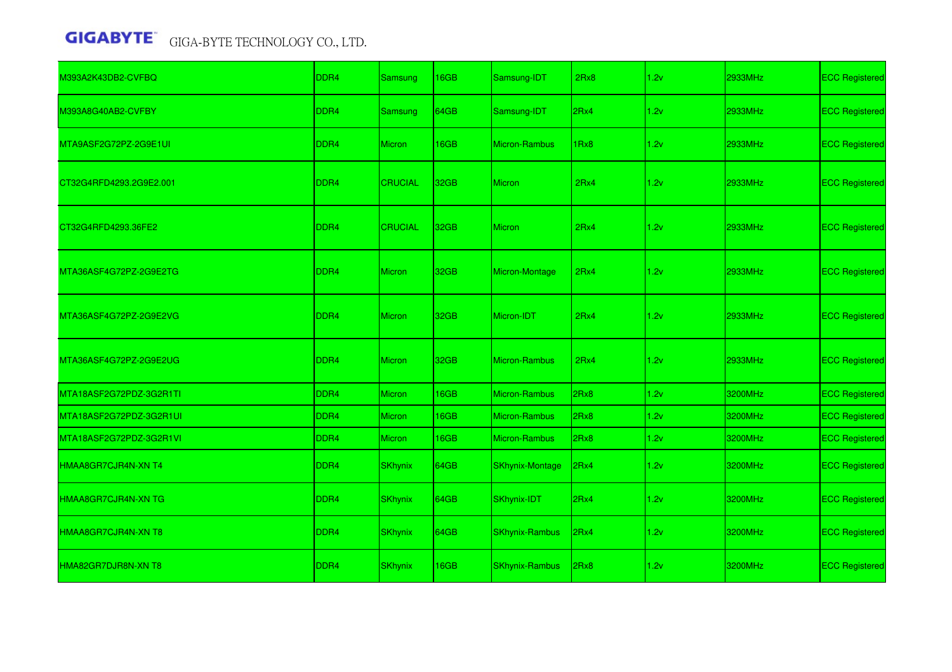| M393A2K43DB2-CVFBQ      | DDR4             | Samsung        | 16GB             | Samsung-IDT            | 2Rx8 | 1.2v | 2933MHz | <b>ECC Registered</b> |
|-------------------------|------------------|----------------|------------------|------------------------|------|------|---------|-----------------------|
| M393A8G40AB2-CVFBY      | DDR <sub>4</sub> | Samsung        | 64GB             | Samsung-IDT            | 2Rx4 | 1.2v | 2933MHz | <b>ECC Registered</b> |
| MTA9ASF2G72PZ-2G9E1UI   | DDR <sub>4</sub> | Micron         | 16GB             | Micron-Rambus          | 1Rx8 | 1.2v | 2933MHz | <b>ECC Registered</b> |
| CT32G4RFD4293.2G9E2.001 | DDR <sub>4</sub> | <b>CRUCIAL</b> | 32GB             | <b>Micron</b>          | 2Rx4 | 1.2v | 2933MHz | <b>ECC Registered</b> |
| CT32G4RFD4293.36FE2     | DDR <sub>4</sub> | <b>CRUCIAL</b> | 32 <sub>GB</sub> | <b>Micron</b>          | 2Rx4 | 1.2v | 2933MHz | <b>ECC Registered</b> |
| MTA36ASF4G72PZ-2G9E2TG  | DDR <sub>4</sub> | <b>Micron</b>  | 32GB             | Micron-Montage         | 2Rx4 | 1.2v | 2933MHz | <b>ECC Registered</b> |
| MTA36ASF4G72PZ-2G9E2VG  | DDR <sub>4</sub> | <b>Micron</b>  | 32GB             | Micron-IDT             | 2Rx4 | 1.2v | 2933MHz | <b>ECC Registered</b> |
| MTA36ASF4G72PZ-2G9E2UG  | DDR4             | <b>Micron</b>  | 32GB             | Micron-Rambus          | 2Rx4 | 1.2v | 2933MHz | <b>ECC Registered</b> |
| MTA18ASF2G72PDZ-3G2R1TI | DDR <sub>4</sub> | <b>Micron</b>  | 16GB             | Micron-Rambus          | 2Rx8 | 1.2v | 3200MHz | <b>ECC Registered</b> |
| MTA18ASF2G72PDZ-3G2R1UI | DDR4             | <b>Micron</b>  | 16GB             | <b>Micron-Rambus</b>   | 2Rx8 | 1.2v | 3200MHz | <b>ECC Registered</b> |
| MTA18ASF2G72PDZ-3G2R1VI | DDR4             | <b>Micron</b>  | 16GB             | <b>Micron-Rambus</b>   | 2Rx8 | 1.2v | 3200MHz | <b>ECC Registered</b> |
| HMAA8GR7CJR4N-XN T4     | DDR4             | <b>SKhynix</b> | 64GB             | <b>SKhynix-Montage</b> | 2Rx4 | 1.2v | 3200MHz | <b>ECC Registered</b> |
| HMAA8GR7CJR4N-XN TG     | DDR <sub>4</sub> | <b>SKhynix</b> | 64GB             | SKhynix-IDT            | 2Rx4 | 1.2v | 3200MHz | <b>ECC Registered</b> |
| HMAA8GR7CJR4N-XN T8     | DDR <sub>4</sub> | <b>SKhynix</b> | 64GB             | <b>SKhynix-Rambus</b>  | 2Rx4 | 1.2v | 3200MHz | <b>ECC Registered</b> |
| HMA82GR7DJR8N-XN T8     | DDR4             | <b>SKhynix</b> | 16GB             | <b>SKhynix-Rambus</b>  | 2Rx8 | 1.2v | 3200MHz | <b>ECC Registered</b> |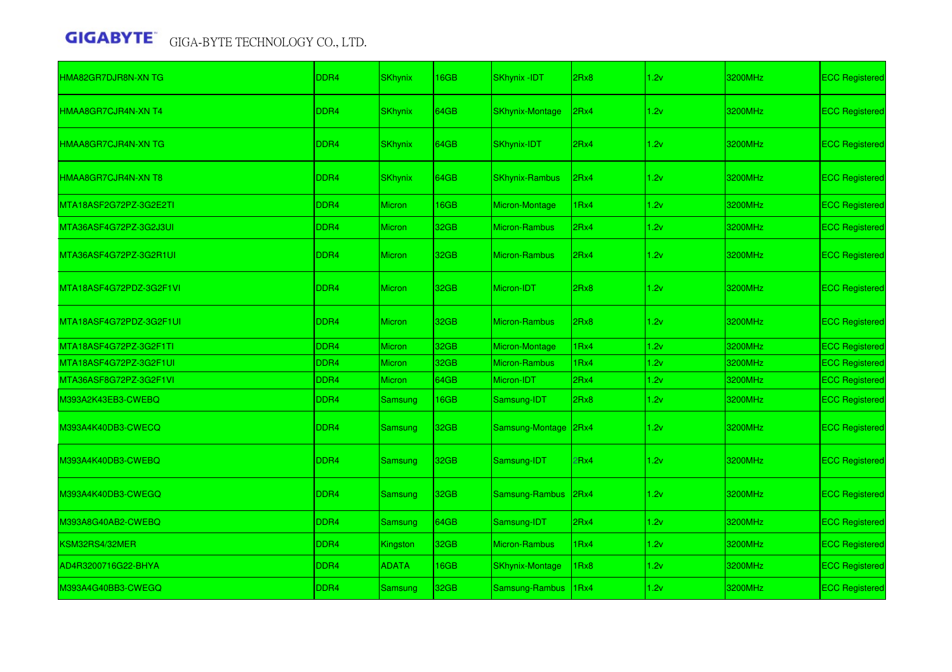| HMA82GR7DJR8N-XN TG        | DDR4             | <b>SKhynix</b> | 16GB        | SKhynix -IDT           | 2Rx8             | 1.2v | 3200MHz | <b>ECC Registered</b> |
|----------------------------|------------------|----------------|-------------|------------------------|------------------|------|---------|-----------------------|
| HMAA8GR7CJR4N-XN T4        | DDR <sub>4</sub> | <b>SKhynix</b> | 64GB        | <b>SKhynix-Montage</b> | 2Rx4             | 1.2v | 3200MHz | <b>ECC Registered</b> |
| <b>HMAA8GR7CJR4N-XN TG</b> | DDR <sub>4</sub> | <b>SKhynix</b> | 64GB        | SKhynix-IDT            | 2Rx4             | 1.2v | 3200MHz | <b>ECC Registered</b> |
| HMAA8GR7CJR4N-XN T8        | DDR <sub>4</sub> | <b>SKhynix</b> | <b>64GB</b> | <b>SKhynix-Rambus</b>  | 2Rx4             | 1.2v | 3200MHz | <b>ECC Registered</b> |
| MTA18ASF2G72PZ-3G2E2TI     | DDR4             | <b>Micron</b>  | 16GB        | Micron-Montage         | 1Rx4             | 1.2v | 3200MHz | <b>ECC Registered</b> |
| MTA36ASF4G72PZ-3G2J3UI     | DDR <sub>4</sub> | Micron         | 32GB        | <b>Micron-Rambus</b>   | 2Rx4             | 1.2v | 3200MHz | <b>ECC Registered</b> |
| MTA36ASF4G72PZ-3G2R1UI     | DDR <sub>4</sub> | Micron         | 32GB        | <b>Micron-Rambus</b>   | 2Rx4             | 1.2v | 3200MHz | <b>ECC Registered</b> |
| MTA18ASF4G72PDZ-3G2F1VI    | DDR <sub>4</sub> | <b>Micron</b>  | 32GB        | Micron-IDT             | 2Rx8             | 1.2v | 3200MHz | <b>ECC Registered</b> |
| MTA18ASF4G72PDZ-3G2F1UI    | DDR4             | Micron         | 32GB        | <b>Micron-Rambus</b>   | 2Rx8             | 1.2v | 3200MHz | <b>ECC Registered</b> |
| MTA18ASF4G72PZ-3G2F1TI     | DDR <sub>4</sub> | Micron         | 32GB        | Micron-Montage         | 1Rx4             | 1.2v | 3200MHz | <b>ECC Registered</b> |
| MTA18ASF4G72PZ-3G2F1UI     | DDR <sub>4</sub> | <b>Micron</b>  | 32GB        | <b>Micron-Rambus</b>   | 1Rx4             | 1.2v | 3200MHz | <b>ECC Registered</b> |
| MTA36ASF8G72PZ-3G2F1VI     | DDR4             | Micron         | 64GB        | Micron-IDT             | 2Rx4             | 1.2v | 3200MHz | <b>ECC Registered</b> |
| M393A2K43EB3-CWEBQ         | DDR <sub>4</sub> | Samsung        | 16GB        | Samsung-IDT            | 2Rx8             | 1.2v | 3200MHz | <b>ECC Registered</b> |
| M393A4K40DB3-CWECQ         | DDR <sub>4</sub> | Samsung        | 32GB        | Samsung-Montage        | 2Rx4             | 1.2v | 3200MHz | <b>ECC Registered</b> |
| M393A4K40DB3-CWEBQ         | DDR4             | Samsung        | 32GB        | Samsung-IDT            | 2Rx4             | 1.2v | 3200MHz | <b>ECC Registered</b> |
| M393A4K40DB3-CWEGQ         | DDR <sub>4</sub> | Samsung        | 32GB        | Samsung-Rambus         | 2Rx4             | 1.2v | 3200MHz | <b>ECC Registered</b> |
| M393A8G40AB2-CWEBQ         | DDR <sub>4</sub> | <b>Samsung</b> | 64GB        | Samsung-IDT            | 2Rx4             | 1.2v | 3200MHz | <b>ECC Registered</b> |
| KSM32RS4/32MER             | DDR <sub>4</sub> | Kingston       | 32GB        | <b>Micron-Rambus</b>   | 1Rx4             | 1.2v | 3200MHz | <b>ECC Registered</b> |
| AD4R3200716G22-BHYA        | DDR <sub>4</sub> | <b>ADATA</b>   | 16GB        | <b>SKhynix-Montage</b> | 1Rx8             | 1.2v | 3200MHz | <b>ECC Registered</b> |
| M393A4G40BB3-CWEGQ         | DDR <sub>4</sub> | Samsung        | 32GB        | Samsung-Rambus         | 1 <sub>Rx4</sub> | 1.2v | 3200MHz | <b>ECC Registered</b> |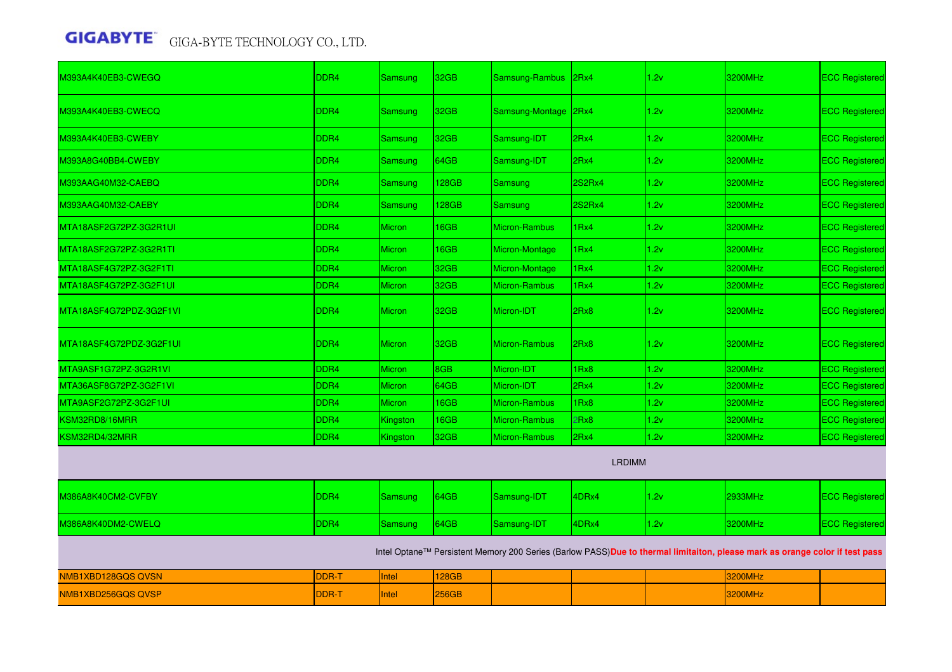| M393A4K40EB3-CWEGQ      | DDR4             | <b>Samsung</b> | 32GB         | Samsung-Rambus        | 2Rx4          | 1.2v | 3200MHz                                                                                                                     | <b>ECC Registered</b> |
|-------------------------|------------------|----------------|--------------|-----------------------|---------------|------|-----------------------------------------------------------------------------------------------------------------------------|-----------------------|
| M393A4K40EB3-CWECQ      | DDR <sub>4</sub> | Samsung        | 32GB         | Samsung-Montage       | 2Rx4          | 1.2v | 3200MHz                                                                                                                     | <b>ECC Registered</b> |
| M393A4K40EB3-CWEBY      | DDR <sub>4</sub> | <b>Samsung</b> | 32GB         | Samsung-IDT           | 2Rx4          | 1.2v | 3200MHz                                                                                                                     | <b>ECC Registered</b> |
| M393A8G40BB4-CWEBY      | DDR <sub>4</sub> | Samsung        | 64GB         | Samsung-IDT           | 2Rx4          | 1.2v | 3200MHz                                                                                                                     | <b>ECC Registered</b> |
| M393AAG40M32-CAEBQ      | DDR <sub>4</sub> | <b>Samsung</b> | 128GB        | Samsung               | 2S2Rx4        | 1.2v | 3200MHz                                                                                                                     | <b>ECC Registered</b> |
| M393AAG40M32-CAEBY      | DDR <sub>4</sub> | <b>Samsung</b> | 128GB        | <b>Samsung</b>        | 2S2Rx4        | 1.2v | 3200MHz                                                                                                                     | <b>ECC Registered</b> |
| MTA18ASF2G72PZ-3G2R1UI  | DDR <sub>4</sub> | <b>Micron</b>  | 16GB         | <b>Micron-Rambus</b>  | 1Rx4          | 1.2v | 3200MHz                                                                                                                     | <b>ECC Registered</b> |
| MTA18ASF2G72PZ-3G2R1TI  | DDR4             | <b>Micron</b>  | 16GB         | Micron-Montage        | 1Rx4          | 1.2v | 3200MHz                                                                                                                     | <b>ECC Registered</b> |
| MTA18ASF4G72PZ-3G2F1TI  | DDR <sub>4</sub> | <b>Micron</b>  | 32GB         | <b>Micron-Montage</b> | 1Rx4          | 1.2v | 3200MHz                                                                                                                     | <b>ECC Registered</b> |
| MTA18ASF4G72PZ-3G2F1UI  | DDR <sub>4</sub> | <b>Micron</b>  | 32GB         | <b>Micron-Rambus</b>  | 1Rx4          | 1.2v | 3200MHz                                                                                                                     | <b>ECC Registered</b> |
| MTA18ASF4G72PDZ-3G2F1VL | DDR <sub>4</sub> | <b>Micron</b>  | 32GB         | Micron-IDT            | 2Rx8          | 1.2v | 3200MHz                                                                                                                     | <b>ECC Registered</b> |
| MTA18ASF4G72PDZ-3G2F1UI | DDR4             | <b>Micron</b>  | 32GB         | Micron-Rambus         | 2Rx8          | 1.2v | 3200MHz                                                                                                                     | <b>ECC Registered</b> |
| MTA9ASF1G72PZ-3G2R1VI   | DDR4             | Micron         | 8GB          | Micron-IDT            | 1Rx8          | 1.2v | 3200MHz                                                                                                                     | <b>ECC Registered</b> |
| MTA36ASF8G72PZ-3G2F1VI  | DDR <sub>4</sub> | <b>Micron</b>  | 64GB         | Micron-IDT            | 2Rx4          | 1.2v | 3200MHz                                                                                                                     | <b>ECC Registered</b> |
| MTA9ASF2G72PZ-3G2F1UI   | DDR <sub>4</sub> | Micron         | 16GB         | <b>Micron-Rambus</b>  | 1Rx8          | 1.2v | 3200MHz                                                                                                                     | <b>ECC Registered</b> |
| KSM32RD8/16MRR          | DDR4             | Kingston       | 16GB         | <b>Micron-Rambus</b>  | 2Rx8          | 1.2v | 3200MHz                                                                                                                     | <b>ECC Registered</b> |
| KSM32RD4/32MRR          | DDR4             | Kingston       | 32GB         | <b>Micron-Rambus</b>  | 2Rx4          | 1.2v | 3200MHz                                                                                                                     | <b>ECC Registered</b> |
|                         |                  |                |              |                       | <b>LRDIMM</b> |      |                                                                                                                             |                       |
| M386A8K40CM2-CVFBY      | DDR <sub>4</sub> | Samsung        | 64GB         | Samsung-IDT           | 4DRx4         | 1.2v | <b>2933MHz</b>                                                                                                              | <b>ECC Registered</b> |
| M386A8K40DM2-CWELQ      | DDR <sub>4</sub> | Samsung        | 64GB         | Samsung-IDT           | 4DRx4         | 1.2v | 3200MHz                                                                                                                     | <b>ECC Registered</b> |
|                         |                  |                |              |                       |               |      | Intel Optane™ Persistent Memory 200 Series (Barlow PASS)Due to thermal limitaiton, please mark as orange color if test pass |                       |
| NMB1XBD128GQS QVSN      | <b>DDR-T</b>     | Intel          | 128GB        |                       |               |      | 3200MHz                                                                                                                     |                       |
| NMB1XBD256GQS QVSP      | DDR-T            | Intel          | <b>256GB</b> |                       |               |      | <b>3200MHz</b>                                                                                                              |                       |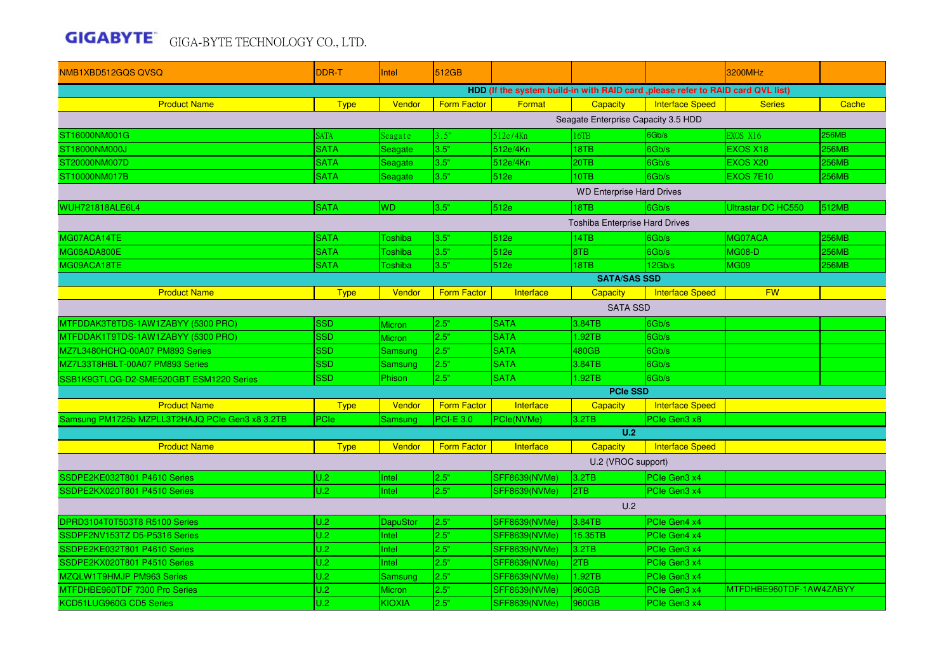| NMB1XBD512GQS QVSQ                                                              | <b>DDR-T</b> | <b>Intel</b>    | 512GB              |                      |                                       |                        | 3200MHz                   |              |  |  |  |
|---------------------------------------------------------------------------------|--------------|-----------------|--------------------|----------------------|---------------------------------------|------------------------|---------------------------|--------------|--|--|--|
| HDD (If the system build-in with RAID card ,please refer to RAID card QVL list) |              |                 |                    |                      |                                       |                        |                           |              |  |  |  |
| <b>Product Name</b>                                                             | <b>Type</b>  | Vendor          | Form Factor        | Format               | <b>Capacity</b>                       | <b>Interface Speed</b> | <b>Series</b>             | Cache        |  |  |  |
| Seagate Enterprise Capacity 3.5 HDD                                             |              |                 |                    |                      |                                       |                        |                           |              |  |  |  |
| ST16000NM001G                                                                   | <b>SATA</b>  | Seagate         | 3.5"               | 512e/4Kn             | 6TB                                   | 6Gb/s                  | <b>EXOS X16</b>           | <b>256MB</b> |  |  |  |
| ST18000NM000J                                                                   | <b>SATA</b>  | Seagate         | 3.5"               | 512e/4Kn             | 18TB                                  | 6Gb/s                  | EXOS X18                  | <b>256MB</b> |  |  |  |
| ST20000NM007D                                                                   | <b>SATA</b>  | Seagate         | 3.5"               | 512e/4Kn             | 20TB                                  | 6Gb/s                  | EXOS X20                  | <b>256MB</b> |  |  |  |
| ST10000NM017B                                                                   | <b>SATA</b>  | Seagate         | 3.5"               | 512e                 | 10TB                                  | 6Gb/s                  | EXOS 7E10                 | <b>256MB</b> |  |  |  |
| <b>WD Enterprise Hard Drives</b>                                                |              |                 |                    |                      |                                       |                        |                           |              |  |  |  |
| WUH721818ALE6L4                                                                 | <b>SATA</b>  | <b>WD</b>       | 3.5"               | 512e                 | 18TB                                  | 6Gb/s                  | <b>Ultrastar DC HC550</b> | 512MB        |  |  |  |
|                                                                                 |              |                 |                    |                      | <b>Toshiba Enterprise Hard Drives</b> |                        |                           |              |  |  |  |
| MG07ACA14TE                                                                     | <b>SATA</b>  | Toshiba         | 3.5"               | 512e                 | 14TB                                  | 6Gb/s                  | MG07ACA                   | <b>256MB</b> |  |  |  |
| MG08ADA800E                                                                     | <b>SATA</b>  | Toshiba         | 3.5"               | 512e                 | 8TB                                   | 6Gb/s                  | <b>MG08-D</b>             | <b>256MB</b> |  |  |  |
| MG09ACA18TE                                                                     | <b>SATA</b>  | Toshiba         | 3.5"               | 512e                 | 18TB                                  | 12Gb/s                 | <b>MG09</b>               | <b>256MB</b> |  |  |  |
| <b>SATA/SAS SSD</b>                                                             |              |                 |                    |                      |                                       |                        |                           |              |  |  |  |
| <b>Product Name</b>                                                             | <b>Type</b>  | Vendor          | <b>Form Factor</b> | Interface            | <b>Capacity</b>                       | <b>Interface Speed</b> | <b>FW</b>                 |              |  |  |  |
| <b>SATA SSD</b>                                                                 |              |                 |                    |                      |                                       |                        |                           |              |  |  |  |
| MTFDDAK3T8TDS-1AW1ZABYY (5300 PRO)                                              | <b>SSD</b>   | <b>Micron</b>   | 2.5"               | <b>SATA</b>          | 3.84TB                                | 6Gb/s                  |                           |              |  |  |  |
| MTFDDAK1T9TDS-1AW1ZABYY (5300 PRO)                                              | <b>SSD</b>   | <b>Micron</b>   | 2.5"               | <b>SATA</b>          | 1.92TB                                | 6Gb/s                  |                           |              |  |  |  |
| MZ7L3480HCHQ-00A07 PM893 Series                                                 | <b>SSD</b>   | <b>Samsung</b>  | 2.5"               | <b>SATA</b>          | 480GB                                 | 6Gb/s                  |                           |              |  |  |  |
| MZ7L33T8HBLT-00A07 PM893 Series                                                 | <b>SSD</b>   | <b>Samsung</b>  | 2.5"               | <b>SATA</b>          | 3.84TB                                | 6Gb/s                  |                           |              |  |  |  |
| SSB1K9GTLCG-D2-SME520GBT ESM1220 Series                                         | <b>SSD</b>   | Phison          | 2.5"               | <b>SATA</b>          | .92TB                                 | 6Gb/s                  |                           |              |  |  |  |
|                                                                                 |              |                 |                    |                      | <b>PCIe SSD</b>                       |                        |                           |              |  |  |  |
| <b>Product Name</b>                                                             | <b>Type</b>  | Vendor          | <b>Form Factor</b> | Interface            | <b>Capacity</b>                       | <b>Interface Speed</b> |                           |              |  |  |  |
| Samsung PM1725b MZPLL3T2HAJQ PCIe Gen3 x8 3.2TB                                 | PCle         | <b>Samsung</b>  | <b>PCI-E 3.0</b>   | PCle(NVMe)           | 3.2TB                                 | PCIe Gen3 x8           |                           |              |  |  |  |
|                                                                                 |              |                 |                    |                      | U.2                                   |                        |                           |              |  |  |  |
| <b>Product Name</b>                                                             | <b>Type</b>  | Vendor          | <b>Form Factor</b> | Interface            | Capacity                              | <b>Interface Speed</b> |                           |              |  |  |  |
|                                                                                 |              |                 |                    |                      | U.2 (VROC support)                    |                        |                           |              |  |  |  |
| SSDPE2KE032T801 P4610 Series                                                    | U.2          | Intel           | 2.5"               | SFF8639(NVMe)        | 3.2TB                                 | PCIe Gen3 x4           |                           |              |  |  |  |
| SSDPE2KX020T801 P4510 Series                                                    | U.2          | Intel           | 2.5"               | <b>SFF8639(NVMe)</b> | 2TB                                   | PCIe Gen3 x4           |                           |              |  |  |  |
|                                                                                 |              |                 |                    |                      | U.2                                   |                        |                           |              |  |  |  |
| DPRD3104T0T503T8 R5100 Series                                                   | U.2          | <b>DapuStor</b> | 2.5"               | SFF8639(NVMe)        | 3.84TB                                | PCIe Gen4 x4           |                           |              |  |  |  |
| SSDPF2NV153TZ D5-P5316 Series                                                   | U.2          | Intel           | 2.5"               | SFF8639(NVMe)        | 15.35TB                               | PCIe Gen4 x4           |                           |              |  |  |  |
| SSDPE2KE032T801 P4610 Series                                                    | U.2          | Intel           | 2.5"               | <b>SFF8639(NVMe)</b> | 3.2TB                                 | PCIe Gen3 x4           |                           |              |  |  |  |
| SSDPE2KX020T801 P4510 Series                                                    | U.2          | Intel           | 2.5"               | <b>SFF8639(NVMe)</b> | 2TB                                   | PCIe Gen3 x4           |                           |              |  |  |  |
| MZQLW1T9HMJP PM963 Series                                                       | U.2          | Samsung         | 2.5"               | <b>SFF8639(NVMe)</b> | 1.92TB                                | PCIe Gen3 x4           |                           |              |  |  |  |
| MTFDHBE960TDF 7300 Pro Series                                                   | U.2          | <b>Micron</b>   | 2.5"               | <b>SFF8639(NVMe)</b> | 960GB                                 | PCIe Gen3 x4           | MTFDHBE960TDF-1AW4ZABYY   |              |  |  |  |
| KCD51LUG960G CD5 Series                                                         | U.2          | <b>KIOXIA</b>   | 2.5"               | <b>SFF8639(NVMe)</b> | 960GB                                 | PCIe Gen3 x4           |                           |              |  |  |  |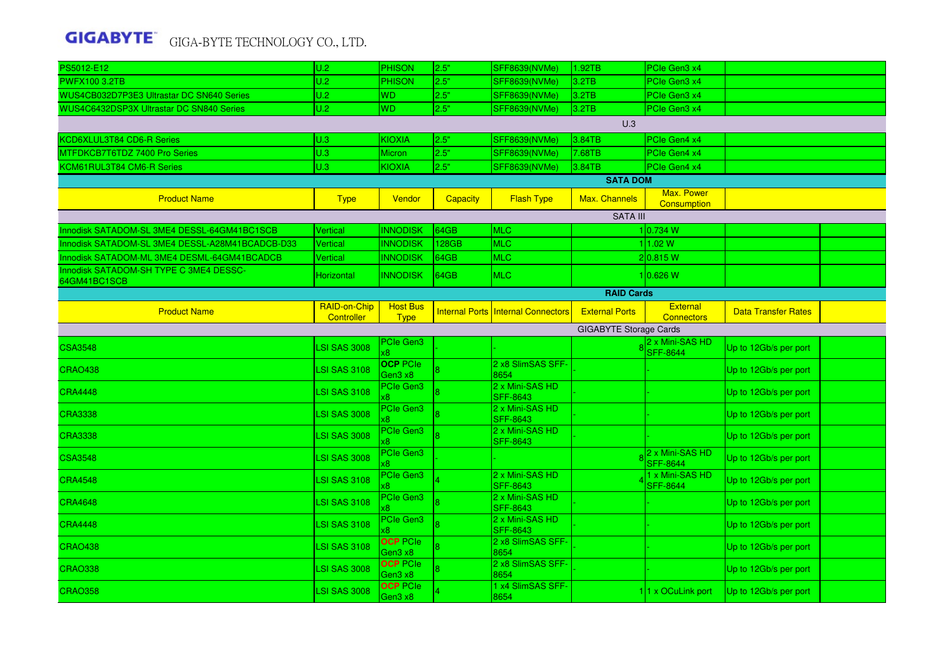| PS5012-E12                                             | U.2                        | <b>PHISON</b>                  | 2.5"            | <b>SFF8639(NVMe)</b>               | 1.92TB                        | PCIe Gen3 x4                         |                            |  |
|--------------------------------------------------------|----------------------------|--------------------------------|-----------------|------------------------------------|-------------------------------|--------------------------------------|----------------------------|--|
| <b>PWFX100 3.2TB</b>                                   | U.2                        | <b>PHISON</b>                  | 2.5"            | <b>SFF8639(NVMe)</b>               | 3.2TB                         | PCIe Gen3 x4                         |                            |  |
| WUS4CB032D7P3E3 Ultrastar DC SN640 Series              | U.2                        | <b>WD</b>                      | 2.5"            | <b>SFF8639(NVMe)</b>               | 3.2TB                         | PCIe Gen3 x4                         |                            |  |
| WUS4C6432DSP3X Ultrastar DC SN840 Series               | U.2                        | <b>WD</b>                      | 2.5"            | <b>SFF8639(NVMe)</b>               | 3.2TB                         | PCIe Gen3 x4                         |                            |  |
|                                                        |                            |                                |                 |                                    | U.3                           |                                      |                            |  |
| KCD6XLUL3T84 CD6-R Series                              | U.3                        | <b>KIOXIA</b>                  | 2.5"            | <b>SFF8639(NVMe)</b>               | 3.84TB                        | PCIe Gen4 x4                         |                            |  |
| MTFDKCB7T6TDZ 7400 Pro Series                          | U.3                        | Micron                         | 2.5"            | <b>SFF8639(NVMe)</b>               | 7.68TB                        | PCIe Gen4 x4                         |                            |  |
| KCM61RUL3T84 CM6-R Series                              | U.3                        | <b>KIOXIA</b>                  | 2.5"            | <b>SFF8639(NVMe)</b>               | 3.84TB                        | PCIe Gen4 x4                         |                            |  |
|                                                        |                            |                                |                 |                                    | <b>SATA DOM</b>               |                                      |                            |  |
| <b>Product Name</b>                                    | <b>Type</b>                | Vendor                         | <b>Capacity</b> | <b>Flash Type</b>                  | Max. Channels                 | Max. Power<br>Consumption            |                            |  |
|                                                        |                            |                                |                 |                                    | <b>SATA III</b>               |                                      |                            |  |
| Innodisk SATADOM-SL 3ME4 DESSL-64GM41BC1SCB            | <b>Vertical</b>            | <b>INNODISK</b>                | 64GB            | <b>MLC</b>                         |                               | 1 0.734 W                            |                            |  |
| Innodisk SATADOM-SL 3ME4 DESSL-A28M41BCADCB-D33        | Vertical                   | <b>INNODISK</b>                | 128GB           | <b>MLC</b>                         |                               | 1 1.02 W                             |                            |  |
| Innodisk SATADOM-ML 3ME4 DESML-64GM41BCADCB            | Vertical                   | <b>INNODISK</b>                | 64GB            | <b>MLC</b>                         |                               | 2 0.815 W                            |                            |  |
| Innodisk SATADOM-SH TYPE C 3ME4 DESSC-<br>64GM41BC1SCB | Horizontal                 | <b>INNODISK</b>                | 64GB            | <b>MLC</b>                         |                               | 10.626 W                             |                            |  |
|                                                        |                            |                                |                 |                                    | <b>RAID Cards</b>             |                                      |                            |  |
| <b>Product Name</b>                                    | RAID-on-Chip<br>Controller | <b>Host Bus</b><br><b>Type</b> |                 | Internal Ports Internal Connectors | <b>External Ports</b>         | <b>External</b><br><b>Connectors</b> | <b>Data Transfer Rates</b> |  |
|                                                        |                            |                                |                 |                                    | <b>GIGABYTE Storage Cards</b> |                                      |                            |  |
| <b>CSA3548</b>                                         | <b>LSI SAS 3008</b>        | <b>PCIe Gen3</b>               |                 |                                    |                               | 2 x Mini-SAS HD<br><b>SFF-8644</b>   | Up to 12Gb/s per port      |  |
| <b>CRAO438</b>                                         | <b>LSI SAS 3108</b>        | <b>OCP</b> PCIe<br>Gen3 x8     |                 | 2 x8 SlimSAS SFF-<br>8654          |                               |                                      | Up to 12Gb/s per port      |  |
| <b>CRA4448</b>                                         | <b>LSI SAS 3108</b>        | PCIe Gen3                      |                 | 2 x Mini-SAS HD<br><b>SFF-8643</b> |                               |                                      | Up to 12Gb/s per port      |  |
| <b>CRA3338</b>                                         | LSI SAS 3008               | PCIe Gen3                      |                 | 2 x Mini-SAS HD<br><b>SFF-8643</b> |                               |                                      | Up to 12Gb/s per port      |  |
| <b>CRA3338</b>                                         | <b>LSI SAS 3008</b>        | PCIe Gen3                      |                 | 2 x Mini-SAS HD<br><b>SFF-8643</b> |                               |                                      | Up to 12Gb/s per port      |  |
| <b>CSA3548</b>                                         | <b>LSI SAS 3008</b>        | PCIe Gen3                      |                 |                                    |                               | 2 x Mini-SAS HD<br><b>SFF-8644</b>   | Up to 12Gb/s per port      |  |
| <b>CRA4548</b>                                         | <b>LSI SAS 3108</b>        | PCIe Gen3                      |                 | 2 x Mini-SAS HD<br><b>SFF-8643</b> |                               | 1 x Mini-SAS HD<br><b>SFF-8644</b>   | Up to 12Gb/s per port      |  |
| <b>CRA4648</b>                                         | <b>LSI SAS 3108</b>        | PCIe Gen3                      |                 | 2 x Mini-SAS HD<br><b>SFF-8643</b> |                               |                                      | Up to 12Gb/s per port      |  |
| <b>CRA4448</b>                                         | <b>LSI SAS 3108</b>        | PCIe Gen3                      |                 | 2 x Mini-SAS HD<br><b>SFF-8643</b> |                               |                                      | Up to 12Gb/s per port      |  |
| <b>CRAO438</b>                                         | <b>LSI SAS 3108</b>        | <b>OCP PCIe</b><br>Gen3 x8     |                 | 2 x8 SlimSAS SFF-<br>8654          |                               |                                      | Up to 12Gb/s per port      |  |
| <b>CRAO338</b>                                         | <b>LSI SAS 3008</b>        | <b>OCP PCIe</b><br>Gen3 x8     |                 | 2 x8 SlimSAS SFF-<br>8654          |                               |                                      | Up to 12Gb/s per port      |  |
| <b>CRAO358</b>                                         | <b>LSI SAS 3008</b>        | <b>OCP PCIe</b><br>Gen3 x8     |                 | 1 x4 SlimSAS SFF-<br>8654          |                               | 11 x OCuLink port                    | Up to 12Gb/s per port      |  |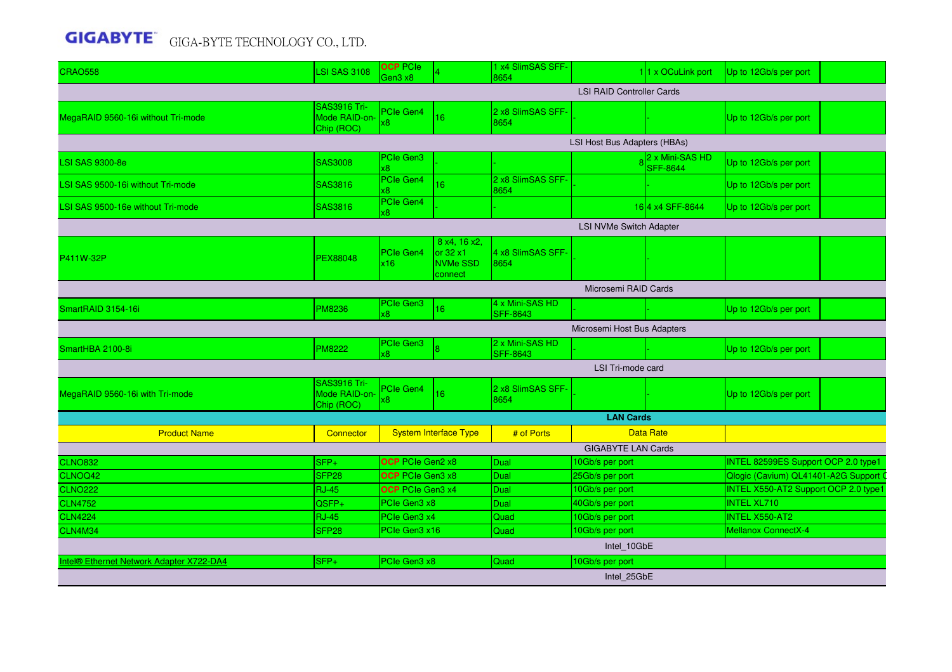| <b>CRAO558</b>                           | <b>LSI SAS 3108</b>                                | <b>OCP PCIe</b><br>Gen3 x8 |                                                         | 1 x4 SlimSAS SFF-<br>8654          |                                  | 11 x OCuLink port                  | Up to 12Gb/s per port                       |  |  |  |  |
|------------------------------------------|----------------------------------------------------|----------------------------|---------------------------------------------------------|------------------------------------|----------------------------------|------------------------------------|---------------------------------------------|--|--|--|--|
|                                          |                                                    |                            |                                                         |                                    | <b>LSI RAID Controller Cards</b> |                                    |                                             |  |  |  |  |
| MegaRAID 9560-16i without Tri-mode       | <b>SAS3916 Tri-</b><br>Mode RAID-on-<br>Chip (ROC) | PCIe Gen4<br>x8            | 16                                                      | 2 x8 SlimSAS SFF-<br>8654          |                                  |                                    | Up to 12Gb/s per port                       |  |  |  |  |
|                                          |                                                    |                            |                                                         |                                    | LSI Host Bus Adapters (HBAs)     |                                    |                                             |  |  |  |  |
| <b>LSI SAS 9300-8e</b>                   | <b>SAS3008</b>                                     | PCIe Gen3<br>8x            |                                                         |                                    |                                  | 2 x Mini-SAS HD<br><b>SFF-8644</b> | Up to 12Gb/s per port                       |  |  |  |  |
| LSI SAS 9500-16i without Tri-mode        | SAS3816                                            | PCIe Gen4<br>x8            | 16                                                      | 2 x8 SlimSAS SFF-<br>8654          |                                  |                                    | Up to 12Gb/s per port                       |  |  |  |  |
| LSI SAS 9500-16e without Tri-mode        | <b>SAS3816</b>                                     | PCIe Gen4<br>8x            |                                                         |                                    |                                  | 16 4 x 4 SFF-8644                  | Up to 12Gb/s per port                       |  |  |  |  |
| LSI NVMe Switch Adapter                  |                                                    |                            |                                                         |                                    |                                  |                                    |                                             |  |  |  |  |
| P411W-32P                                | <b>PEX88048</b>                                    | PCIe Gen4<br>x16           | 8 x4, 16 x2.<br>$\vert$ or 32 x1<br>NVMe SSD<br>connect | 4 x8 SlimSAS SFF-<br>8654          |                                  |                                    |                                             |  |  |  |  |
| Microsemi RAID Cards                     |                                                    |                            |                                                         |                                    |                                  |                                    |                                             |  |  |  |  |
| SmartRAID 3154-16i                       | <b>PM8236</b>                                      | PCIe Gen3<br>8x            | 16                                                      | 4 x Mini-SAS HD<br>SFF-8643        |                                  |                                    | Up to 12Gb/s per port                       |  |  |  |  |
|                                          |                                                    |                            |                                                         |                                    | Microsemi Host Bus Adapters      |                                    |                                             |  |  |  |  |
| SmartHBA 2100-8i                         | <b>PM8222</b>                                      | PCIe Gen3<br>x8            |                                                         | 2 x Mini-SAS HD<br><b>SFF-8643</b> |                                  |                                    | Up to 12Gb/s per port                       |  |  |  |  |
|                                          |                                                    |                            |                                                         |                                    | LSI Tri-mode card                |                                    |                                             |  |  |  |  |
| MegaRAID 9560-16i with Tri-mode          | <b>SAS3916 Tri-</b><br>Mode RAID-on-<br>Chip (ROC) | PCIe Gen4<br>х8.           | 16                                                      | 2 x8 SlimSAS SFF<br>8654           |                                  |                                    | Up to 12Gb/s per port                       |  |  |  |  |
|                                          |                                                    |                            |                                                         |                                    | <b>LAN Cards</b>                 |                                    |                                             |  |  |  |  |
| <b>Product Name</b>                      | Connector                                          |                            | <b>System Interface Type</b>                            | # of Ports                         |                                  | <b>Data Rate</b>                   |                                             |  |  |  |  |
|                                          |                                                    |                            |                                                         |                                    | <b>GIGABYTE LAN Cards</b>        |                                    |                                             |  |  |  |  |
| <b>CLNO832</b>                           | SFP+                                               | <b>OCP</b> PCIe Gen2 x8    |                                                         | Dual                               | 10Gb/s per port                  |                                    | INTEL 82599ES Support OCP 2.0 type1         |  |  |  |  |
| CLNOQ42                                  | SFP <sub>28</sub>                                  | <b>OCP</b> PCIe Gen3 x8    |                                                         | <b>Dual</b>                        | 25Gb/s per port                  |                                    | Qlogic (Cavium) QL41401-A2G Support         |  |  |  |  |
| <b>CLNO222</b>                           | <b>RJ-45</b>                                       | <b>OCP</b> PCIe Gen3 x4    |                                                         | <b>Dual</b>                        | 10Gb/s per port                  |                                    | <b>INTEL X550-AT2 Support OCP 2.0 type1</b> |  |  |  |  |
| <b>CLN4752</b>                           | QSFP+                                              | PCIe Gen3 x8               |                                                         | <b>Dual</b>                        | 40Gb/s per port                  |                                    | <b>INTEL XL710</b>                          |  |  |  |  |
| <b>CLN4224</b>                           | <b>RJ-45</b>                                       | PCIe Gen3 x4               |                                                         | Quad                               | 10Gb/s per port                  |                                    | <b>INTEL X550-AT2</b>                       |  |  |  |  |
| <b>CLN4M34</b>                           | SFP <sub>28</sub>                                  | PCIe Gen3 x16              |                                                         | Quad                               | 10Gb/s per port                  |                                    | Mellanox ConnectX-4                         |  |  |  |  |
|                                          |                                                    |                            |                                                         |                                    | Intel_10GbE                      |                                    |                                             |  |  |  |  |
|                                          |                                                    |                            |                                                         |                                    |                                  |                                    |                                             |  |  |  |  |
| Intel® Ethernet Network Adapter X722-DA4 | SFP+                                               | PCIe Gen3 x8               |                                                         | Quad                               | 10Gb/s per port<br>Intel_25GbE   |                                    |                                             |  |  |  |  |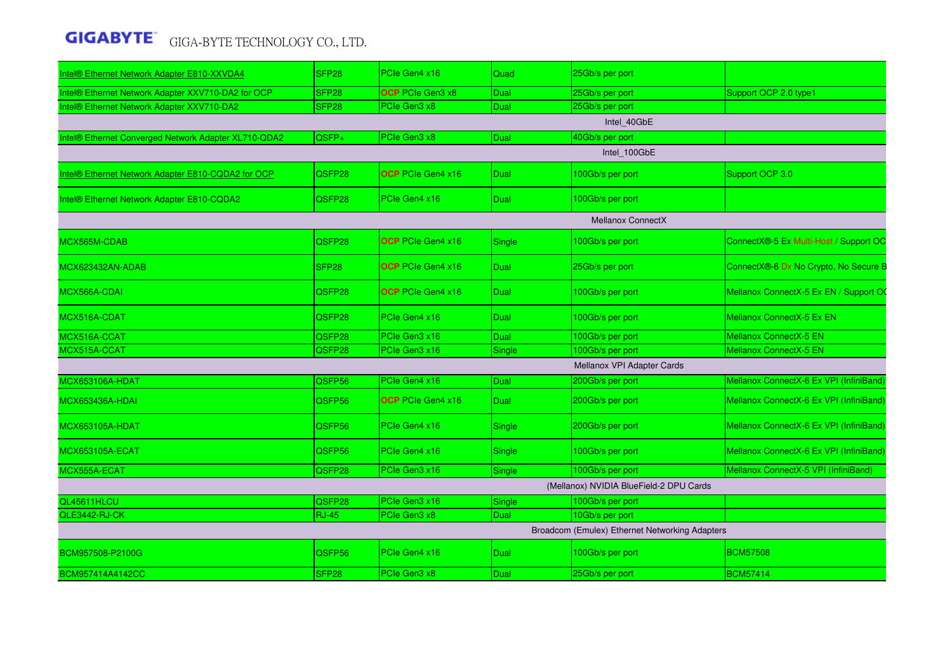| Intel® Ethernet Network Adapter E810-XXVDA4          | SFP28             | PCIe Gen4 x16            | Quad          | 25Gb/s per port                                |                                         |
|------------------------------------------------------|-------------------|--------------------------|---------------|------------------------------------------------|-----------------------------------------|
| Intel® Ethernet Network Adapter XXV710-DA2 for OCP   | SFP <sub>28</sub> | OCP PCIe Gen3 x8         | Dual          | 25Gb/s per port                                | Support OCP 2.0 type1                   |
| Intel® Ethernet Network Adapter XXV710-DA2           | SFP <sub>28</sub> | PCIe Gen3 x8             | Dual          | 25Gb/s per port                                |                                         |
|                                                      |                   |                          |               | Intel 40GbE                                    |                                         |
| Intel® Ethernet Converged Network Adapter XL710-QDA2 | QSFP+             | PCIe Gen3 x8             | Dual          | 40Gb/s per port                                |                                         |
|                                                      |                   |                          |               | Intel_100GbE                                   |                                         |
| Intel® Ethernet Network Adapter E810-CQDA2 for OCP   | QSFP28            | <b>OCP</b> PCIe Gen4 x16 | <b>Dual</b>   | 100Gb/s per port                               | Support OCP 3.0                         |
| Intel® Ethernet Network Adapter E810-CQDA2           | QSFP28            | PCIe Gen4 x16            | <b>Dual</b>   | 100Gb/s per port                               |                                         |
|                                                      |                   |                          |               | <b>Mellanox ConnectX</b>                       |                                         |
| MCX565M-CDAB                                         | QSFP28            | <b>OCP</b> PCIe Gen4 x16 | Single        | 100Gb/s per port                               | ConnectX®-5 Ex Multi-Host / Support OC  |
| MCX623432AN-ADAB                                     | SFP28             | <b>OCP</b> PCIe Gen4 x16 | <b>Dual</b>   | 25Gb/s per port                                | ConnectX®-6 Dx No Crypto, No Secure B   |
| MCX566A-CDAI                                         | QSFP28            | <b>OCP</b> PCIe Gen4 x16 | <b>Dual</b>   | 100Gb/s per port                               | Mellanox ConnectX-5 Ex EN / Support OO  |
| MCX516A-CDAT                                         | QSFP28            | <b>PCIe Gen4 x16</b>     | Dual          | 100Gb/s per port                               | Mellanox ConnectX-5 Ex EN               |
| MCX516A-CCAT                                         | QSFP28            | PCIe Gen3 x16            | Dual          | 100Gb/s per port                               | Mellanox ConnectX-5 EN                  |
| MCX515A-CCAT                                         | QSFP28            | PCIe Gen3 x16            | Single        | 100Gb/s per port                               | Mellanox ConnectX-5 EN                  |
|                                                      |                   |                          |               | Mellanox VPI Adapter Cards                     |                                         |
| <b>MCX653106A-HDAT</b>                               | QSFP56            | PCIe Gen4 x16            | Dual          | 200Gb/s per port                               | Mellanox ConnectX-6 Ex VPI (InfiniBand  |
| MCX653436A-HDAI                                      | QSFP56            | <b>OCP</b> PCIe Gen4 x16 | <b>Dual</b>   | 200Gb/s per port                               | Mellanox ConnectX-6 Ex VPI (InfiniBand) |
| MCX653105A-HDAT                                      | QSFP56            | PCIe Gen4 x16            | <b>Single</b> | 200Gb/s per port                               | Mellanox ConnectX-6 Ex VPI (InfiniBand) |
| MCX653105A-ECAT                                      | QSFP56            | PCIe Gen4 x16            | Single        | 100Gb/s per port                               | Mellanox ConnectX-6 Ex VPI (InfiniBand) |
| MCX555A-ECAT                                         | QSFP28            | PCIe Gen3 x16            | Single        | 100Gb/s per port                               | Mellanox ConnectX-5 VPI (InfiniBand)    |
|                                                      |                   |                          |               | (Mellanox) NVIDIA BlueField-2 DPU Cards        |                                         |
| QL45611HLCU                                          | QSFP28            | PCIe Gen3 x16            | Single        | 100Gb/s per port                               |                                         |
| QLE3442-RJ-CK                                        | <b>RJ-45</b>      | PCIe Gen3 x8             | <b>Dual</b>   | 10Gb/s per port                                |                                         |
|                                                      |                   |                          |               | Broadcom (Emulex) Ethernet Networking Adapters |                                         |
| BCM957508-P2100G                                     | QSFP56            | PCIe Gen4 x16            | <b>Dual</b>   | 100Gb/s per port                               | <b>BCM57508</b>                         |
| BCM957414A4142CC                                     | SFP <sub>28</sub> | PCIe Gen3 x8             | Dual          | 25Gb/s per port                                | <b>BCM57414</b>                         |
|                                                      |                   |                          |               |                                                |                                         |